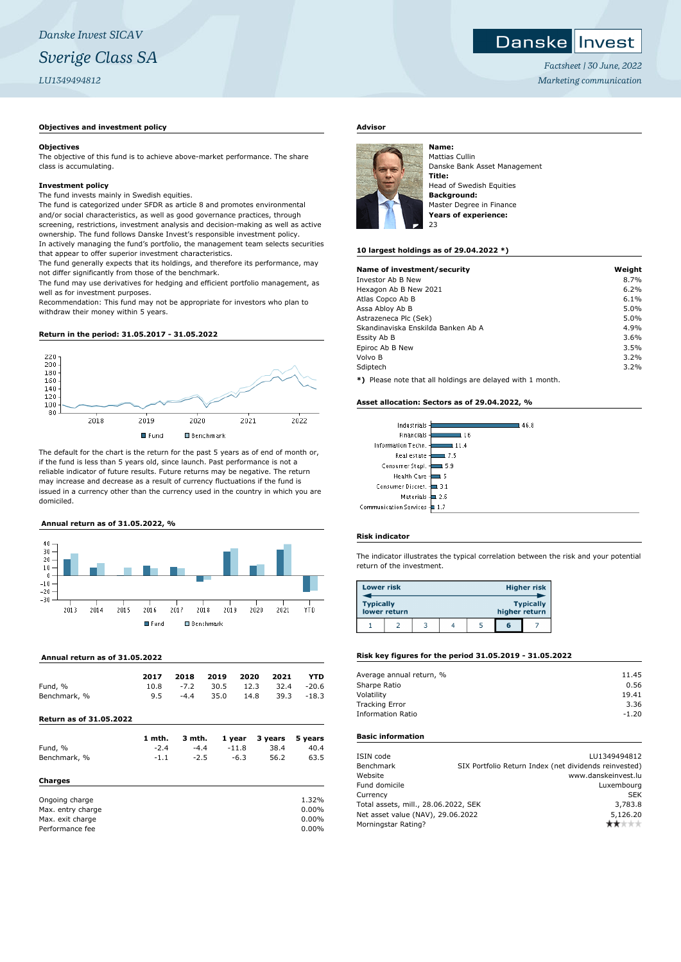## **Objectives and investment policy**

#### **Objectives**

The objective of this fund is to achieve above-market performance. The share class is accumulating.

#### **Investment policy**

The fund invests mainly in Swedish equities.

The fund is categorized under SFDR as article 8 and promotes environmental and/or social characteristics, as well as good governance practices, through screening, restrictions, investment analysis and decision-making as well as active ownership. The fund follows Danske Invest's responsible investment policy. In actively managing the fund's portfolio, the management team selects securities that appear to offer superior investment characteristics.

The fund generally expects that its holdings, and therefore its performance, may not differ significantly from those of the benchmark.

The fund may use derivatives for hedging and efficient portfolio management, as well as for investment purposes.

Recommendation: This fund may not be appropriate for investors who plan to withdraw their money within 5 years.

#### **Return in the period: 31.05.2017 - 31.05.2022**



The default for the chart is the return for the past 5 years as of end of month or, if the fund is less than 5 years old, since launch. Past performance is not a reliable indicator of future results. Future returns may be negative. The return may increase and decrease as a result of currency fluctuations if the fund is issued in a currency other than the currency used in the country in which you are domiciled.

## **Annual return as of 31.05.2022, %**



 **Annual return as of 31.05.2022**

|              | 2017 |        | 2018 2019 2020 2021                        |           | <b>YTD</b> |
|--------------|------|--------|--------------------------------------------|-----------|------------|
| Fund, %      |      |        | $10.8$ $-7.2$ $30.5$ $12.3$ $32.4$ $-20.6$ |           |            |
| Benchmark, % | 9.5  | $-4.4$ |                                            | 35.0 14.8 | 39.3 -18.3 |

## **Return as of 31.05.2022**

|                   | 1 mth. | 3 mth. | 1 year  | 3 years | 5 years  |
|-------------------|--------|--------|---------|---------|----------|
| Fund, %           | $-2.4$ | $-4.4$ | $-11.8$ | 38.4    | 40.4     |
| Benchmark, %      | $-1.1$ | $-2.5$ | $-6.3$  | 56.2    | 63.5     |
| Charges           |        |        |         |         |          |
| Ongoing charge    |        |        |         |         | 1.32%    |
| Max. entry charge |        |        |         |         | 0.00%    |
| Max. exit charge  |        |        |         |         | $0.00\%$ |

Performance fee 0.00%

## **Advisor**



Mattias Cullin Danske Bank Asset Management **Title:** Head of Swedish Equities **Background:** Master Degree in Finance **Years of experience:** 23

## **10 largest holdings as of 29.04.2022 \*)**

| Name of investment/security                                  | Weight |
|--------------------------------------------------------------|--------|
| Investor Ab B New                                            | 8.7%   |
| Hexagon Ab B New 2021                                        | 6.2%   |
| Atlas Copco Ab B                                             | 6.1%   |
| Assa Abloy Ab B                                              | 5.0%   |
| Astrazeneca Plc (Sek)                                        | 5.0%   |
| Skandinaviska Enskilda Banken Ab A                           | 4.9%   |
| Essity Ab B                                                  | 3.6%   |
| Epiroc Ab B New                                              | 3.5%   |
| Volvo B                                                      | 3.2%   |
| Sdiptech                                                     | 3.2%   |
| $*1$ Dispos pote that all beldings are delayed with 1 member |        |

**\*)** Please note that all holdings are delayed with 1 month.

#### **Asset allocation: Sectors as of 29.04.2022, %**

| Industrials -                | 46.8         |
|------------------------------|--------------|
| Financials-                  | l 16         |
| Information Techn. 4         | 11.4         |
| Real estate -                | 7.5          |
| Consumer Stapl. -            | l 5.9        |
| Health Care 4                | ι 5          |
| Consumer Discret. - 3.1      |              |
| Materials -                  | $\equiv$ 2.6 |
| Communication Services - 1.7 |              |
|                              |              |

# **Risk indicator**

The indicator illustrates the typical correlation between the risk and your potential return of the investment.

| <b>Lower risk</b> |              |  |               | Higher risk      |
|-------------------|--------------|--|---------------|------------------|
| <b>Typically</b>  | lower return |  | higher return | <b>Typically</b> |
|                   |              |  | G             |                  |

# **Risk key figures for the period 31.05.2019 - 31.05.2022**

| Average annual return, % | 11.45   |
|--------------------------|---------|
| Sharpe Ratio             | 0.56    |
| Volatility               | 19.41   |
| <b>Tracking Error</b>    | 3.36    |
| <b>Information Ratio</b> | $-1.20$ |
|                          |         |

# **Basic information**

| ISIN code                            | LU1349494812                                          |
|--------------------------------------|-------------------------------------------------------|
| Benchmark                            | SIX Portfolio Return Index (net dividends reinvested) |
| Website                              | www.danskeinvest.lu                                   |
| Fund domicile                        | Luxembourg                                            |
| Currency                             | <b>SEK</b>                                            |
| Total assets, mill., 28.06.2022, SEK | 3,783.8                                               |
| Net asset value (NAV), 29.06.2022    | 5,126.20                                              |
| Morningstar Rating?                  | n <del>k</del> ±tt≠                                   |

*Factsheet | 30 June, 2022 Marketing communication*